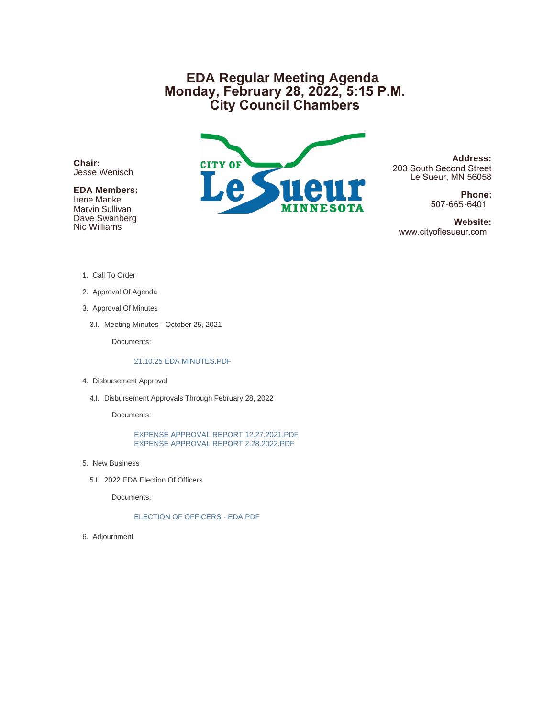# **EDA Regular Meeting Agenda Monday, February 28, 2022, 5:15 P.M. City Council Chambers**

**Chair:** Jesse Wenisch

### **EDA Members:**

Irene Manke Marvin Sullivan Dave Swanberg Nic Williams



**Address:** 203 South Second Street Le Sueur, MN 56058

> **Phone:** 507-665-6401

 **Website:** www.cityoflesueur.com

- 1. Call To Order
- 2. Approval Of Agenda
- 3. Approval Of Minutes
	- 3.I. Meeting Minutes October 25, 2021

Documents:

#### 21.10.25 EDA MINUTES.PDF

- 4. Disbursement Approval
	- 4.I. Disbursement Approvals Through February 28, 2022

Documents:

EXPENSE APPROVAL REPORT 12.27.2021.PDF EXPENSE APPROVAL REPORT 2.28.2022.PDF

- 5. New Business
	- 5.I. 2022 EDA Election Of Officers

Documents:

ELECTION OF OFFICERS - EDA.PDF

6. Adjournment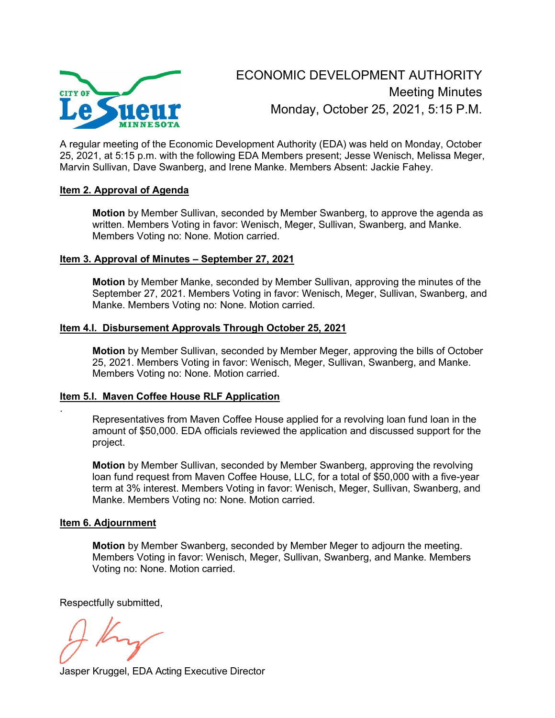

A regular meeting of the Economic Development Authority (EDA) was held on Monday, October 25, 2021, at 5:15 p.m. with the following EDA Members present; Jesse Wenisch, Melissa Meger, Marvin Sullivan, Dave Swanberg, and Irene Manke. Members Absent: Jackie Fahey.

### **Item 2. Approval of Agenda**

**Motion** by Member Sullivan, seconded by Member Swanberg, to approve the agenda as written. Members Voting in favor: Wenisch, Meger, Sullivan, Swanberg, and Manke. Members Voting no: None. Motion carried.

### **Item 3. Approval of Minutes – September 27, 2021**

**Motion** by Member Manke, seconded by Member Sullivan, approving the minutes of the September 27, 2021. Members Voting in favor: Wenisch, Meger, Sullivan, Swanberg, and Manke. Members Voting no: None. Motion carried.

### **Item 4.I. Disbursement Approvals Through October 25, 2021**

**Motion** by Member Sullivan, seconded by Member Meger, approving the bills of October 25, 2021. Members Voting in favor: Wenisch, Meger, Sullivan, Swanberg, and Manke. Members Voting no: None. Motion carried.

#### **Item 5.I. Maven Coffee House RLF Application**

Representatives from Maven Coffee House applied for a revolving loan fund loan in the amount of \$50,000. EDA officials reviewed the application and discussed support for the project.

**Motion** by Member Sullivan, seconded by Member Swanberg, approving the revolving loan fund request from Maven Coffee House, LLC, for a total of \$50,000 with a five-year term at 3% interest. Members Voting in favor: Wenisch, Meger, Sullivan, Swanberg, and Manke. Members Voting no: None. Motion carried.

#### **Item 6. Adjournment**

.

**Motion** by Member Swanberg, seconded by Member Meger to adjourn the meeting. Members Voting in favor: Wenisch, Meger, Sullivan, Swanberg, and Manke. Members Voting no: None. Motion carried.

Respectfully submitted,

Jasper Kruggel, EDA Acting Executive Director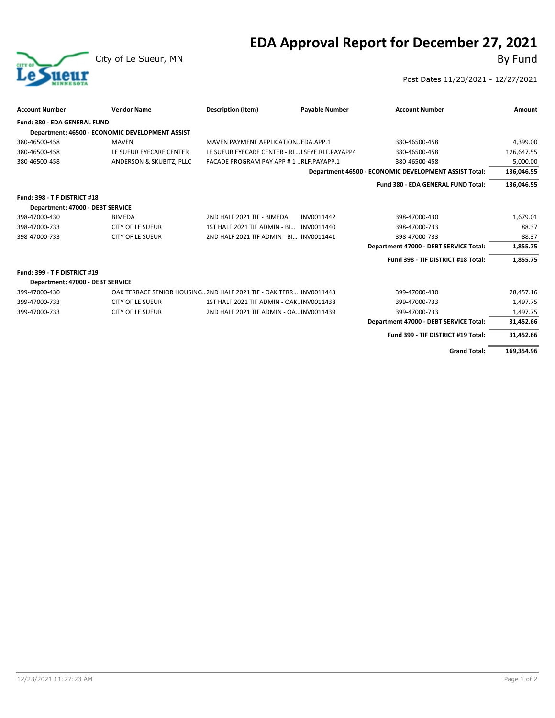# **EDA Approval Report for December 27, 2021**



City of Le Sueur, MN

#### Post Dates 11/23/2021 - 12/27/2021

| <b>Account Number</b>            | <b>Vendor Name</b>                              | <b>Description (Item)</b>                                          | <b>Payable Number</b> | <b>Account Number</b>                                 | Amount     |
|----------------------------------|-------------------------------------------------|--------------------------------------------------------------------|-----------------------|-------------------------------------------------------|------------|
| Fund: 380 - EDA GENERAL FUND     |                                                 |                                                                    |                       |                                                       |            |
|                                  | Department: 46500 - ECONOMIC DEVELOPMENT ASSIST |                                                                    |                       |                                                       |            |
| 380-46500-458                    | <b>MAVEN</b>                                    | MAVEN PAYMENT APPLICATION EDA.APP.1                                |                       | 380-46500-458                                         | 4,399.00   |
| 380-46500-458                    | LE SUEUR EYECARE CENTER                         | LE SUEUR EYECARE CENTER - RL LSEYE.RLF.PAYAPP4                     |                       | 380-46500-458                                         | 126,647.55 |
| 380-46500-458                    | ANDERSON & SKUBITZ, PLLC                        | FACADE PROGRAM PAY APP #1RLF.PAYAPP.1                              |                       | 380-46500-458                                         | 5,000.00   |
|                                  |                                                 |                                                                    |                       | Department 46500 - ECONOMIC DEVELOPMENT ASSIST Total: | 136,046.55 |
|                                  |                                                 |                                                                    |                       | Fund 380 - EDA GENERAL FUND Total:                    | 136,046.55 |
| Fund: 398 - TIF DISTRICT #18     |                                                 |                                                                    |                       |                                                       |            |
| Department: 47000 - DEBT SERVICE |                                                 |                                                                    |                       |                                                       |            |
| 398-47000-430                    | <b>BIMEDA</b>                                   | 2ND HALF 2021 TIF - BIMEDA                                         | INV0011442            | 398-47000-430                                         | 1,679.01   |
| 398-47000-733                    | <b>CITY OF LE SUEUR</b>                         | 1ST HALF 2021 TIF ADMIN - BI INV0011440                            |                       | 398-47000-733                                         | 88.37      |
| 398-47000-733                    | <b>CITY OF LE SUEUR</b>                         | 2ND HALF 2021 TIF ADMIN - BI INV0011441                            |                       | 398-47000-733                                         | 88.37      |
|                                  |                                                 |                                                                    |                       | Department 47000 - DEBT SERVICE Total:                | 1,855.75   |
|                                  |                                                 |                                                                    |                       | Fund 398 - TIF DISTRICT #18 Total:                    | 1.855.75   |
| Fund: 399 - TIF DISTRICT #19     |                                                 |                                                                    |                       |                                                       |            |
| Department: 47000 - DEBT SERVICE |                                                 |                                                                    |                       |                                                       |            |
| 399-47000-430                    |                                                 | OAK TERRACE SENIOR HOUSING 2ND HALF 2021 TIF - OAK TERR INV0011443 |                       | 399-47000-430                                         | 28,457.16  |
| 399-47000-733                    | <b>CITY OF LE SUEUR</b>                         | 1ST HALF 2021 TIF ADMIN - OAKINV0011438                            |                       | 399-47000-733                                         | 1,497.75   |
| 399-47000-733                    | <b>CITY OF LE SUEUR</b>                         | 2ND HALF 2021 TIF ADMIN - OA INV0011439                            |                       | 399-47000-733                                         | 1,497.75   |
|                                  |                                                 |                                                                    |                       | Department 47000 - DEBT SERVICE Total:                | 31,452.66  |
|                                  |                                                 |                                                                    |                       | Fund 399 - TIF DISTRICT #19 Total:                    | 31,452.66  |
|                                  |                                                 |                                                                    |                       | <b>Grand Total:</b>                                   | 169,354.96 |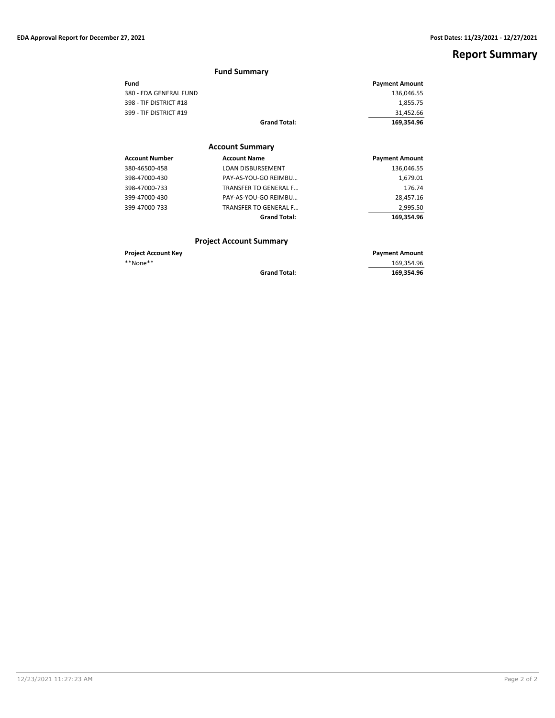# **Report Summary**

|                            | <b>Fund Summary</b>            |                       |
|----------------------------|--------------------------------|-----------------------|
| Fund                       |                                | <b>Payment Amount</b> |
| 380 - EDA GENERAL FUND     |                                | 136,046.55            |
| 398 - TIF DISTRICT #18     |                                | 1,855.75              |
| 399 - TIF DISTRICT #19     |                                | 31,452.66             |
|                            | <b>Grand Total:</b>            | 169,354.96            |
|                            | <b>Account Summary</b>         |                       |
| <b>Account Number</b>      | <b>Account Name</b>            | <b>Payment Amount</b> |
| 380-46500-458              | <b>LOAN DISBURSEMENT</b>       | 136,046.55            |
| 398-47000-430              | PAY-AS-YOU-GO REIMBU           | 1,679.01              |
| 398-47000-733              | <b>TRANSFER TO GENERAL F</b>   | 176.74                |
| 399-47000-430              | PAY-AS-YOU-GO REIMBU           | 28,457.16             |
| 399-47000-733              | <b>TRANSFER TO GENERAL F</b>   | 2,995.50              |
|                            | <b>Grand Total:</b>            | 169,354.96            |
|                            | <b>Project Account Summary</b> |                       |
| <b>Project Account Key</b> |                                | <b>Payment Amount</b> |
| **None**                   |                                | 169,354.96            |
|                            | <b>Grand Total:</b>            | 169,354.96            |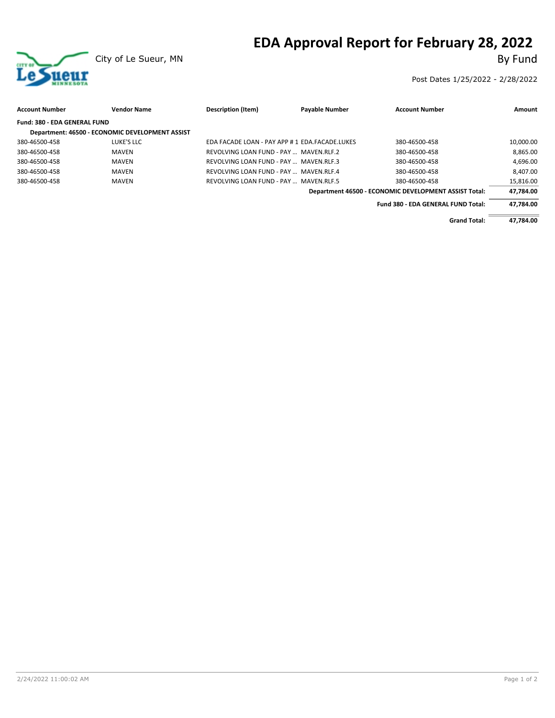# **EDA Approval Report for February 28, 2022**<br>By Fund



Post Dates 1/25/2022 - 2/28/2022

| <b>Account Number</b>        | <b>Vendor Name</b>                              | Description (Item)                             | <b>Payable Number</b> | <b>Account Number</b>                                 | Amount    |
|------------------------------|-------------------------------------------------|------------------------------------------------|-----------------------|-------------------------------------------------------|-----------|
| Fund: 380 - EDA GENERAL FUND |                                                 |                                                |                       |                                                       |           |
|                              | Department: 46500 - ECONOMIC DEVELOPMENT ASSIST |                                                |                       |                                                       |           |
| 380-46500-458                | LUKE'S LLC                                      | EDA FACADE LOAN - PAY APP # 1 EDA.FACADE.LUKES |                       | 380-46500-458                                         | 10,000.00 |
| 380-46500-458                | MAVEN                                           | REVOLVING LOAN FUND - PAY  MAVEN.RLF.2         |                       | 380-46500-458                                         | 8.865.00  |
| 380-46500-458                | MAVEN                                           | REVOLVING LOAN FUND - PAY  MAVEN.RLF.3         |                       | 380-46500-458                                         | 4.696.00  |
| 380-46500-458                | <b>MAVEN</b>                                    | REVOLVING LOAN FUND - PAY  MAVEN.RLF.4         |                       | 380-46500-458                                         | 8.407.00  |
| 380-46500-458                | <b>MAVEN</b>                                    | REVOLVING LOAN FUND - PAY  MAVEN.RLF.5         |                       | 380-46500-458                                         | 15,816.00 |
|                              |                                                 |                                                |                       | Department 46500 - ECONOMIC DEVELOPMENT ASSIST Total: | 47,784.00 |
|                              |                                                 |                                                |                       | Fund 380 - EDA GENERAL FUND Total:                    | 47.784.00 |
|                              |                                                 |                                                |                       | <b>Grand Total:</b>                                   | 47.784.00 |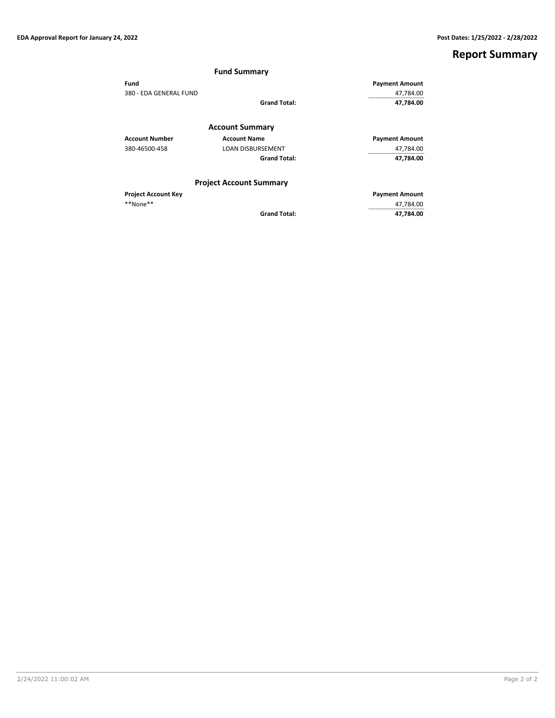# **Report Summary**

|                            | <b>Fund Summary</b>            |                       |
|----------------------------|--------------------------------|-----------------------|
| Fund                       |                                | <b>Payment Amount</b> |
| 380 - EDA GENERAL FUND     | 47,784.00                      |                       |
|                            | <b>Grand Total:</b>            | 47,784.00             |
|                            | <b>Account Summary</b>         |                       |
| <b>Account Number</b>      | <b>Account Name</b>            | <b>Payment Amount</b> |
| 380-46500-458              | <b>LOAN DISBURSEMENT</b>       | 47,784.00             |
|                            | <b>Grand Total:</b>            | 47,784.00             |
|                            | <b>Project Account Summary</b> |                       |
| <b>Project Account Key</b> |                                | <b>Payment Amount</b> |
| **None**                   |                                | 47,784.00             |
|                            | <b>Grand Total:</b>            | 47,784.00             |